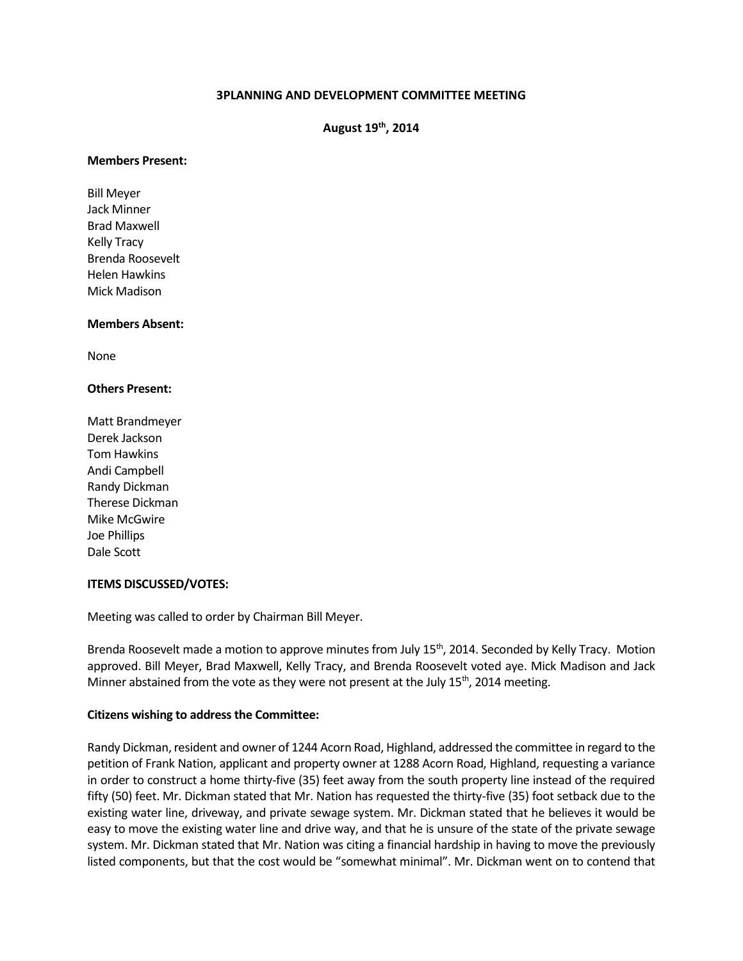# **3PLANNING AND DEVELOPMENT COMMITTEE MEETING**

# **August 19th, 2014**

### **Members Present:**

Bill Meyer Jack Minner Brad Maxwell Kelly Tracy Brenda Roosevelt Helen Hawkins Mick Madison

### **Members Absent:**

None

### **Others Present:**

Matt Brandmeyer Derek Jackson Tom Hawkins Andi Campbell Randy Dickman Therese Dickman Mike McGwire Joe Phillips Dale Scott

#### **ITEMS DISCUSSED/VOTES:**

Meeting was called to order by Chairman Bill Meyer.

Brenda Roosevelt made a motion to approve minutes from July 15<sup>th</sup>, 2014. Seconded by Kelly Tracy. Motion approved. Bill Meyer, Brad Maxwell, Kelly Tracy, and Brenda Roosevelt voted aye. Mick Madison and Jack Minner abstained from the vote as they were not present at the July  $15^{th}$ , 2014 meeting.

## **Citizens wishing to address the Committee:**

Randy Dickman, resident and owner of 1244 Acorn Road, Highland, addressed the committee in regard to the petition of Frank Nation, applicant and property owner at 1288 Acorn Road, Highland, requesting a variance in order to construct a home thirty-five (35) feet away from the south property line instead of the required fifty (50) feet. Mr. Dickman stated that Mr. Nation has requested the thirty-five (35) foot setback due to the existing water line, driveway, and private sewage system. Mr. Dickman stated that he believes it would be easy to move the existing water line and drive way, and that he is unsure of the state of the private sewage system. Mr. Dickman stated that Mr. Nation was citing a financial hardship in having to move the previously listed components, but that the cost would be "somewhat minimal". Mr. Dickman went on to contend that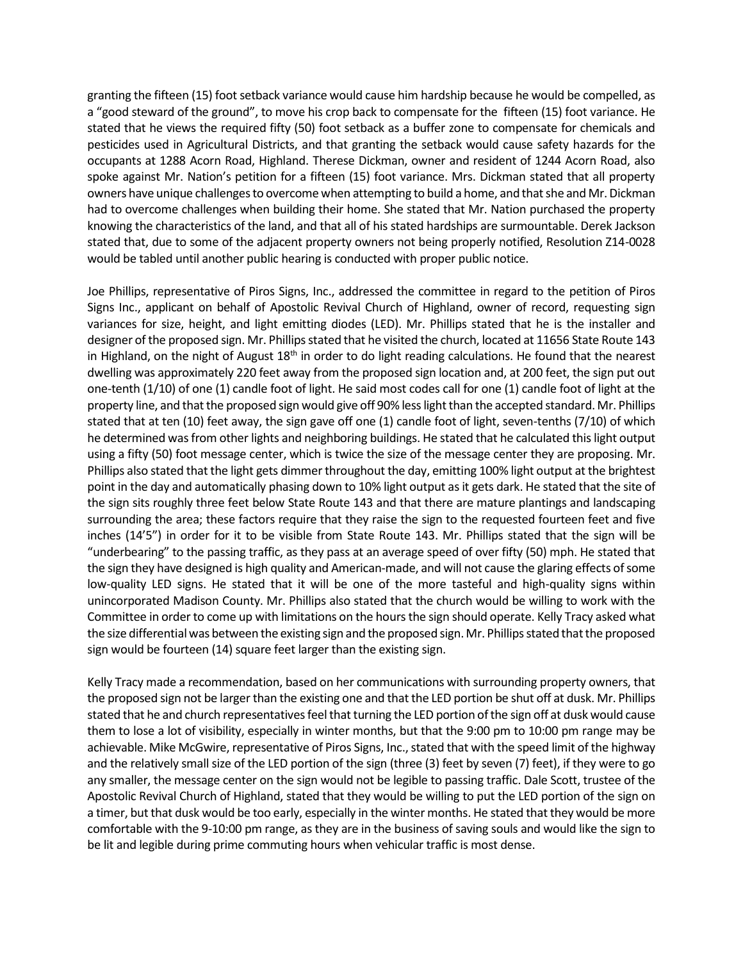granting the fifteen (15) foot setback variance would cause him hardship because he would be compelled, as a "good steward of the ground", to move his crop back to compensate for the fifteen (15) foot variance. He stated that he views the required fifty (50) foot setback as a buffer zone to compensate for chemicals and pesticides used in Agricultural Districts, and that granting the setback would cause safety hazards for the occupants at 1288 Acorn Road, Highland. Therese Dickman, owner and resident of 1244 Acorn Road, also spoke against Mr. Nation's petition for a fifteen (15) foot variance. Mrs. Dickman stated that all property owners have unique challenges to overcome when attempting to build a home, and that she and Mr. Dickman had to overcome challenges when building their home. She stated that Mr. Nation purchased the property knowing the characteristics of the land, and that all of his stated hardships are surmountable. Derek Jackson stated that, due to some of the adjacent property owners not being properly notified, Resolution Z14-0028 would be tabled until another public hearing is conducted with proper public notice.

Joe Phillips, representative of Piros Signs, Inc., addressed the committee in regard to the petition of Piros Signs Inc., applicant on behalf of Apostolic Revival Church of Highland, owner of record, requesting sign variances for size, height, and light emitting diodes (LED). Mr. Phillips stated that he is the installer and designer of the proposed sign. Mr. Phillips stated that he visited the church, located at 11656 State Route 143 in Highland, on the night of August  $18<sup>th</sup>$  in order to do light reading calculations. He found that the nearest dwelling was approximately 220 feet away from the proposed sign location and, at 200 feet, the sign put out one-tenth (1/10) of one (1) candle foot of light. He said most codes call for one (1) candle foot of light at the property line, and that the proposed sign would give off 90% less light than the accepted standard. Mr. Phillips stated that at ten (10) feet away, the sign gave off one (1) candle foot of light, seven-tenths (7/10) of which he determined was from other lights and neighboring buildings. He stated that he calculated this light output using a fifty (50) foot message center, which is twice the size of the message center they are proposing. Mr. Phillips also stated that the light gets dimmer throughout the day, emitting 100% light output at the brightest point in the day and automatically phasing down to 10% light output as it gets dark. He stated that the site of the sign sits roughly three feet below State Route 143 and that there are mature plantings and landscaping surrounding the area; these factors require that they raise the sign to the requested fourteen feet and five inches (14'5") in order for it to be visible from State Route 143. Mr. Phillips stated that the sign will be "underbearing" to the passing traffic, as they pass at an average speed of over fifty (50) mph. He stated that the sign they have designed is high quality and American-made, and will not cause the glaring effects of some low-quality LED signs. He stated that it will be one of the more tasteful and high-quality signs within unincorporated Madison County. Mr. Phillips also stated that the church would be willing to work with the Committee in order to come up with limitations on the hours the sign should operate. Kelly Tracy asked what the size differential was between the existing sign and the proposed sign. Mr. Phillips stated that the proposed sign would be fourteen (14) square feet larger than the existing sign.

Kelly Tracy made a recommendation, based on her communications with surrounding property owners, that the proposed sign not be larger than the existing one and that the LED portion be shut off at dusk. Mr. Phillips stated that he and church representatives feel that turning the LED portion of the sign off at dusk would cause them to lose a lot of visibility, especially in winter months, but that the 9:00 pm to 10:00 pm range may be achievable. Mike McGwire, representative of Piros Signs, Inc., stated that with the speed limit of the highway and the relatively small size of the LED portion of the sign (three (3) feet by seven (7) feet), if they were to go any smaller, the message center on the sign would not be legible to passing traffic. Dale Scott, trustee of the Apostolic Revival Church of Highland, stated that they would be willing to put the LED portion of the sign on a timer, but that dusk would be too early, especially in the winter months. He stated that they would be more comfortable with the 9-10:00 pm range, as they are in the business of saving souls and would like the sign to be lit and legible during prime commuting hours when vehicular traffic is most dense.